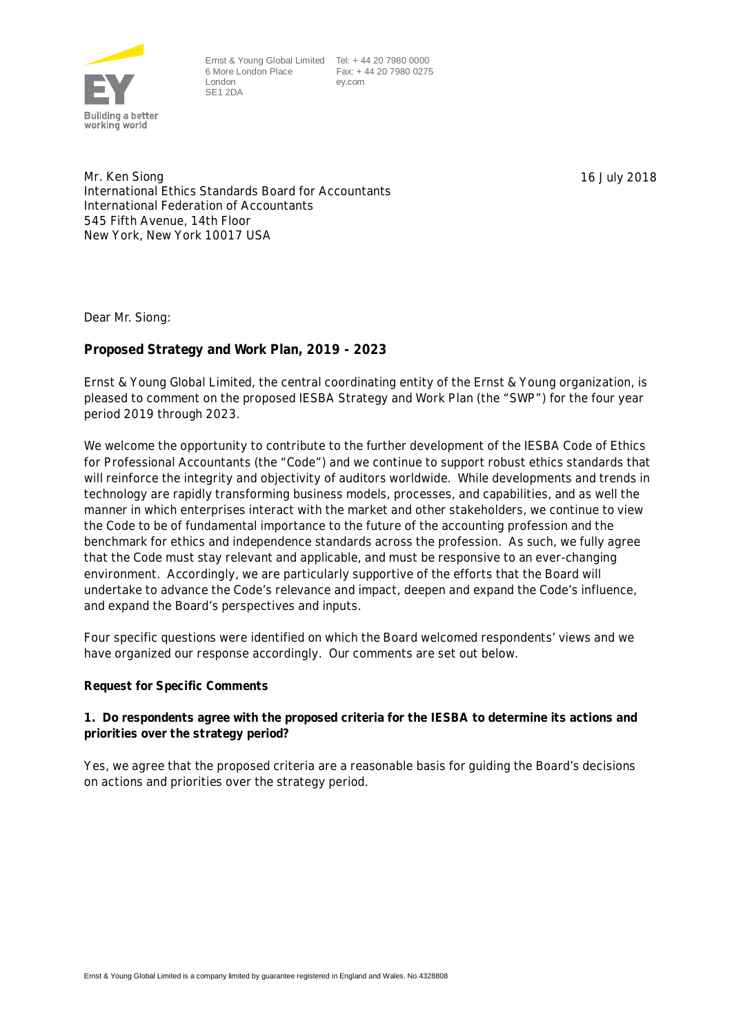

Ernst & Young Global Limited Tel: + 44 20 7980 0000 6 More London Place Fax: + 44 20 7980 0275 London SE1 2DA

ey.com

Mr. Ken Siong International Ethics Standards Board for Accountants International Federation of Accountants 545 Fifth Avenue, 14th Floor New York, New York 10017 USA

16 July 2018

Dear Mr. Siong:

**Proposed Strategy and Work Plan, 2019 - 2023**

Ernst & Young Global Limited, the central coordinating entity of the Ernst & Young organization, is pleased to comment on the proposed IESBA Strategy and Work Plan (the "SWP") for the four year period 2019 through 2023.

We welcome the opportunity to contribute to the further development of the IESBA Code of Ethics for Professional Accountants (the "Code") and we continue to support robust ethics standards that will reinforce the integrity and objectivity of auditors worldwide. While developments and trends in technology are rapidly transforming business models, processes, and capabilities, and as well the manner in which enterprises interact with the market and other stakeholders, we continue to view the Code to be of fundamental importance to the future of the accounting profession and the benchmark for ethics and independence standards across the profession. As such, we fully agree that the Code must stay relevant and applicable, and must be responsive to an ever-changing environment. Accordingly, we are particularly supportive of the efforts that the Board will undertake to advance the Code's relevance and impact, deepen and expand the Code's influence, and expand the Board's perspectives and inputs.

Four specific questions were identified on which the Board welcomed respondents' views and we have organized our response accordingly. Our comments are set out below.

**Request for Specific Comments**

**1. Do respondents agree with the proposed criteria for the IESBA to determine its actions and priorities over the strategy period?**

Yes, we agree that the proposed criteria are a reasonable basis for guiding the Board's decisions on actions and priorities over the strategy period.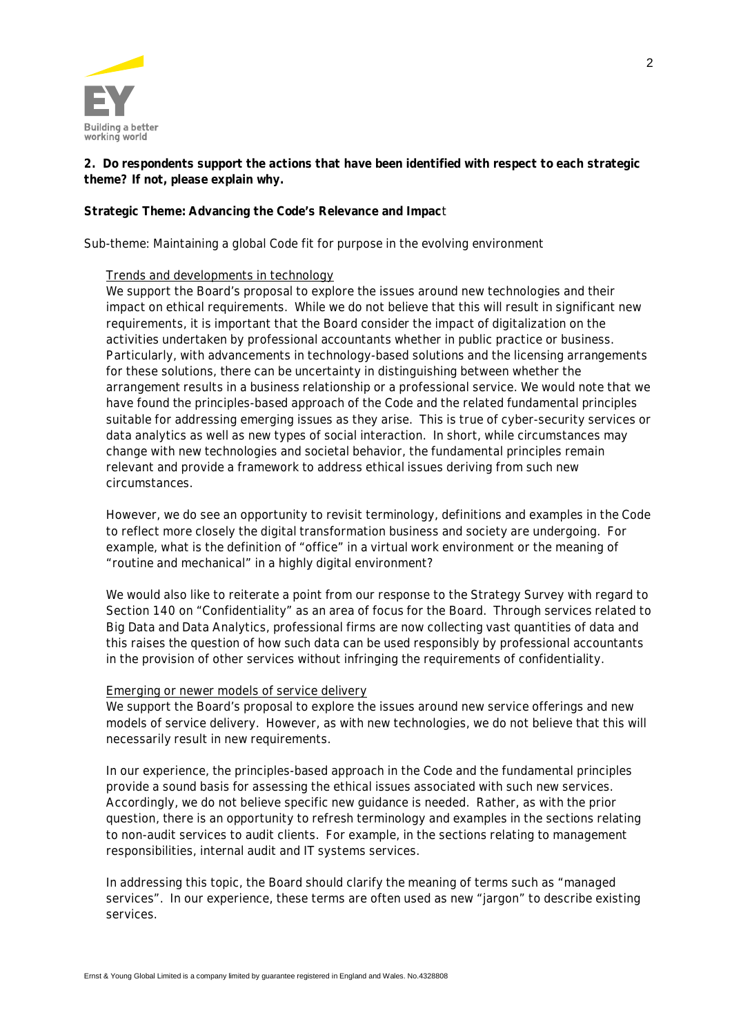

**2. Do respondents support the actions that have been identified with respect to each strategic theme? If not, please explain why.**

# **Strategic Theme: Advancing the Code's Relevance and Impac**t

#### *Sub-theme: Maintaining a global Code fit for purpose in the evolving environment*

# Trends and developments in technology

We support the Board's proposal to explore the issues around new technologies and their impact on ethical requirements. While we do not believe that this will result in significant new requirements, it is important that the Board consider the impact of digitalization on the activities undertaken by professional accountants whether in public practice or business. Particularly, with advancements in technology-based solutions and the licensing arrangements for these solutions, there can be uncertainty in distinguishing between whether the arrangement results in a business relationship or a professional service. We would note that we have found the principles-based approach of the Code and the related fundamental principles suitable for addressing emerging issues as they arise. This is true of cyber-security services or data analytics as well as new types of social interaction. In short, while circumstances may change with new technologies and societal behavior, the fundamental principles remain relevant and provide a framework to address ethical issues deriving from such new circumstances.

However, we do see an opportunity to revisit terminology, definitions and examples in the Code to reflect more closely the digital transformation business and society are undergoing. For example, what is the definition of "office" in a virtual work environment or the meaning of "routine and mechanical" in a highly digital environment?

We would also like to reiterate a point from our response to the Strategy Survey with regard to Section 140 on "Confidentiality" as an area of focus for the Board. Through services related to Big Data and Data Analytics, professional firms are now collecting vast quantities of data and this raises the question of how such data can be used responsibly by professional accountants in the provision of other services without infringing the requirements of confidentiality.

# Emerging or newer models of service delivery

We support the Board's proposal to explore the issues around new service offerings and new models of service delivery. However, as with new technologies, we do not believe that this will necessarily result in new requirements.

In our experience, the principles-based approach in the Code and the fundamental principles provide a sound basis for assessing the ethical issues associated with such new services. Accordingly, we do not believe specific new guidance is needed. Rather, as with the prior question, there is an opportunity to refresh terminology and examples in the sections relating to non-audit services to audit clients. For example, in the sections relating to management responsibilities, internal audit and IT systems services.

In addressing this topic, the Board should clarify the meaning of terms such as "managed services". In our experience, these terms are often used as new "jargon" to describe existing services.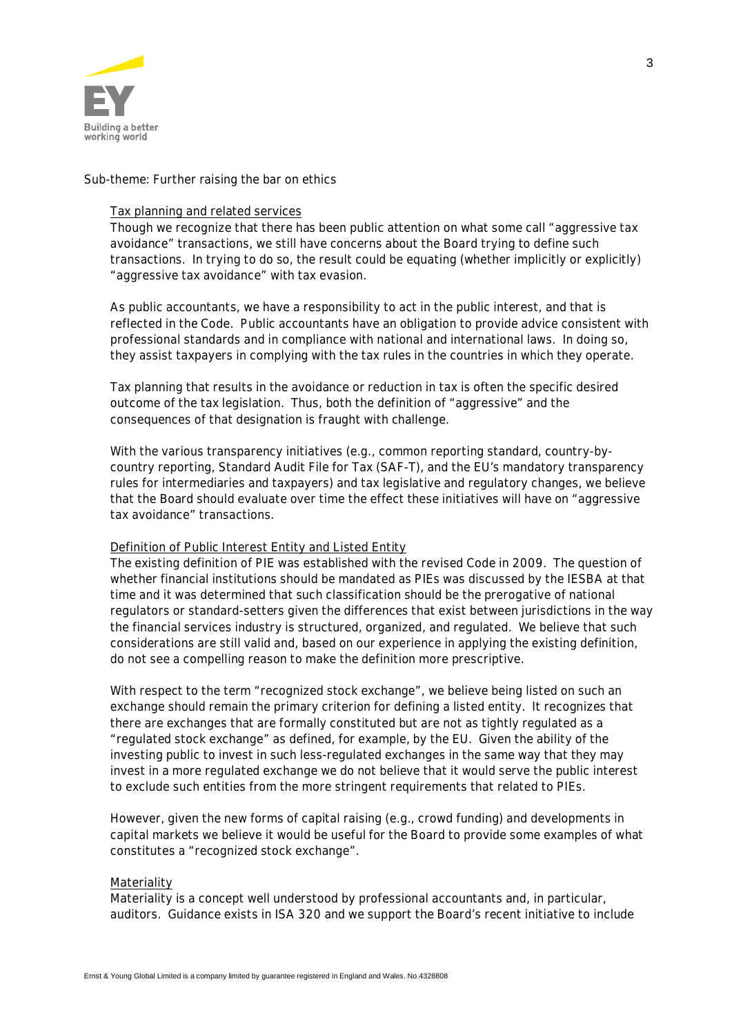

# *Sub-theme: Further raising the bar on ethics*

#### Tax planning and related services

Though we recognize that there has been public attention on what some call "aggressive tax avoidance" transactions, we still have concerns about the Board trying to define such transactions. In trying to do so, the result could be equating (whether implicitly or explicitly) "aggressive tax avoidance" with tax evasion.

As public accountants, we have a responsibility to act in the public interest, and that is reflected in the Code. Public accountants have an obligation to provide advice consistent with professional standards and in compliance with national and international laws. In doing so, they assist taxpayers in complying with the tax rules in the countries in which they operate.

Tax planning that results in the avoidance or reduction in tax is often the specific desired outcome of the tax legislation. Thus, both the definition of "aggressive" and the consequences of that designation is fraught with challenge.

With the various transparency initiatives (e.g., common reporting standard, country-bycountry reporting, Standard Audit File for Tax (SAF-T), and the EU's mandatory transparency rules for intermediaries and taxpayers) and tax legislative and regulatory changes, we believe that the Board should evaluate over time the effect these initiatives will have on "aggressive tax avoidance" transactions.

# Definition of Public Interest Entity and Listed Entity

The existing definition of PIE was established with the revised Code in 2009. The question of whether financial institutions should be mandated as PIEs was discussed by the IESBA at that time and it was determined that such classification should be the prerogative of national regulators or standard-setters given the differences that exist between jurisdictions in the way the financial services industry is structured, organized, and regulated. We believe that such considerations are still valid and, based on our experience in applying the existing definition, do not see a compelling reason to make the definition more prescriptive.

With respect to the term "recognized stock exchange", we believe being listed on such an exchange should remain the primary criterion for defining a listed entity. It recognizes that there are exchanges that are formally constituted but are not as tightly regulated as a "regulated stock exchange" as defined, for example, by the EU. Given the ability of the investing public to invest in such less-regulated exchanges in the same way that they may invest in a more regulated exchange we do not believe that it would serve the public interest to exclude such entities from the more stringent requirements that related to PIEs.

However, given the new forms of capital raising (e.g., crowd funding) and developments in capital markets we believe it would be useful for the Board to provide some examples of what constitutes a "recognized stock exchange".

#### Materiality

Materiality is a concept well understood by professional accountants and, in particular, auditors. Guidance exists in ISA 320 and we support the Board's recent initiative to include